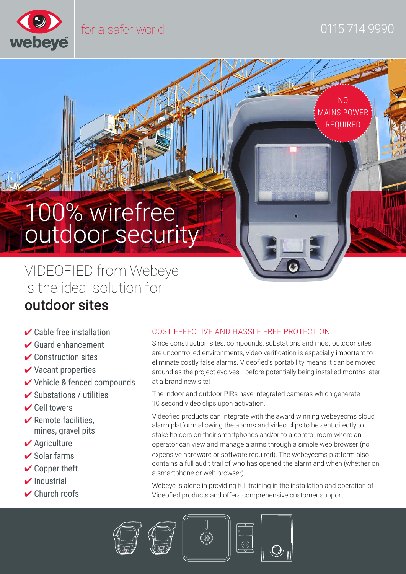

NO MAINS POWER REQUIRED

# 100% wirefree outdoor security

VIDEOFIED from Webeye is the ideal solution for

## outdoor sites

- $\vee$  Cable free installation
- $\blacktriangleright$  Guard enhancement
- $\triangleright$  Construction sites
- $\vee$  Vacant properties
- 4 Vehicle & fenced compounds
- $\triangleright$  Substations / utilities
- $\vee$  Cell towers
- $\triangleright$  Remote facilities. mines, gravel pits
- $\vee$  Agriculture
- $\triangleright$  Solar farms
- $\vee$  Copper theft
- $\triangleright$ Industrial
- $\vee$  Church roofs

#### COST EFFECTIVE AND HASSLE FREE PROTECTION

Since construction sites, compounds, substations and most outdoor sites are uncontrolled environments, video verification is especially important to eliminate costly false alarms. Videofied's portability means it can be moved around as the project evolves –before potentially being installed months later at a brand new site!

The indoor and outdoor PIRs have integrated cameras which generate 10 second video clips upon activation.

Videofied products can integrate with the award winning webeyecms cloud alarm platform allowing the alarms and video clips to be sent directly to stake holders on their smartphones and/or to a control room where an operator can view and manage alarms through a simple web browser (no expensive hardware or software required). The webeyecms platform also contains a full audit trail of who has opened the alarm and when (whether on a smartphone or web browser).

Webeye is alone in providing full training in the installation and operation of Videofied products and offers comprehensive customer support.